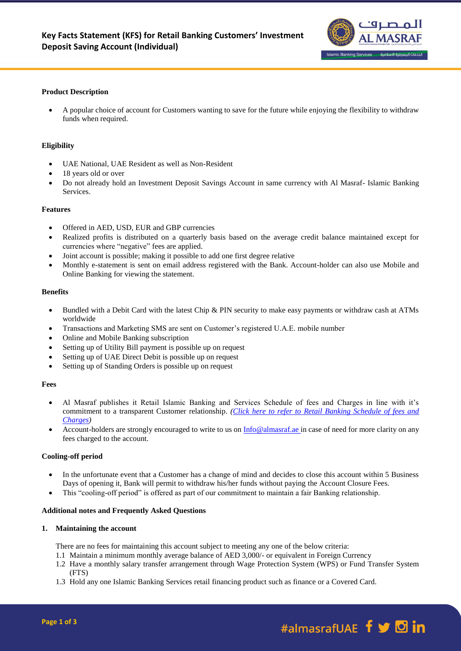

# **Product Description**

 A popular choice of account for Customers wanting to save for the future while enjoying the flexibility to withdraw funds when required.

## **Eligibility**

- UAE National, UAE Resident as well as Non-Resident
- 18 years old or over
- Do not already hold an Investment Deposit Savings Account in same currency with Al Masraf- Islamic Banking Services.

#### **Features**

- Offered in AED, USD, EUR and GBP currencies
- Realized profits is distributed on a quarterly basis based on the average credit balance maintained except for currencies where "negative" fees are applied.
- Joint account is possible; making it possible to add one first degree relative
- Monthly e-statement is sent on email address registered with the Bank. Account-holder can also use Mobile and Online Banking for viewing the statement.

#### **Benefits**

- Bundled with a Debit Card with the latest Chip & PIN security to make easy payments or withdraw cash at ATMs worldwide
- Transactions and Marketing SMS are sent on Customer's registered U.A.E. mobile number
- Online and Mobile Banking subscription
- Setting up of Utility Bill payment is possible up on request
- Setting up of UAE Direct Debit is possible up on request
- Setting up of Standing Orders is possible up on request

# **Fees**

- Al Masraf publishes it Retail Islamic Banking and Services Schedule of fees and Charges in line with it's commitment to a transparent Customer relationship. *[\(Click here to refer to Retail Banking Schedule of fees and](https://almasraf.ae/wp-content/uploads/2021/01/Islamic_Banking_Personal.pdf)  [Charges\)](https://almasraf.ae/wp-content/uploads/2021/01/Islamic_Banking_Personal.pdf)*
- Account-holders are strongly encouraged to write to us on [Info@almasraf.ae](mailto:Info@almasraf.ae) in case of need for more clarity on any fees charged to the account.

#### **Cooling-off period**

- In the unfortunate event that a Customer has a change of mind and decides to close this account within 5 Business Days of opening it, Bank will permit to withdraw his/her funds without paying the Account Closure Fees.
- This "cooling-off period" is offered as part of our commitment to maintain a fair Banking relationship.

# **Additional notes and Frequently Asked Questions**

#### **1. Maintaining the account**

There are no fees for maintaining this account subject to meeting any one of the below criteria:

- 1.1 Maintain a minimum monthly average balance of AED 3,000/- or equivalent in Foreign Currency
- 1.2 Have a monthly salary transfer arrangement through Wage Protection System (WPS) or Fund Transfer System (FTS)
- 1.3 Hold any one Islamic Banking Services retail financing product such as finance or a Covered Card.

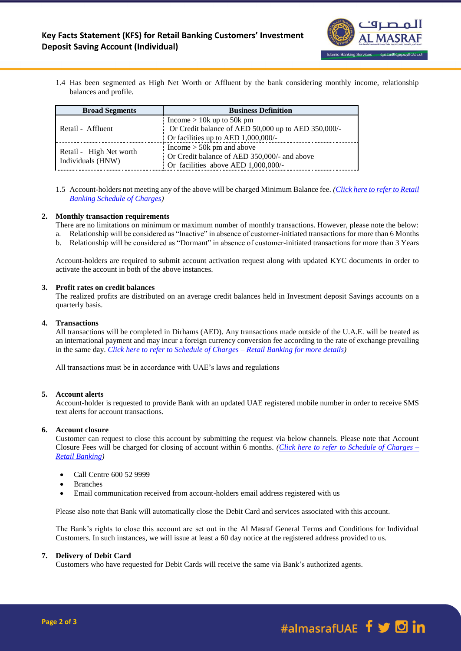

1.4 Has been segmented as High Net Worth or Affluent by the bank considering monthly income, relationship balances and profile.

| <b>Broad Segments</b>                        | <b>Business Definition</b>                                                         |
|----------------------------------------------|------------------------------------------------------------------------------------|
| Retail - Affluent                            | Income $> 10k$ up to 50k pm<br>Or Credit balance of AED 50,000 up to AED 350,000/- |
|                                              | $\frac{1}{2}$ Or facilities up to AED 1,000,000/-                                  |
| Retail - High Net worth<br>Individuals (HNW) | Income $>$ 50k pm and above                                                        |
|                                              | Or Credit balance of AED 350,000/- and above                                       |
|                                              | Or facilities above AED $1,000,000/$ -                                             |

1.5 Account-holders not meeting any of the above will be charged Minimum Balance fee. *[\(Click here to refer to Retail](https://almasraf.ae/wp-content/uploads/2021/01/Islamic_Banking_Personal.pdf)  [Banking Schedule of Charges\)](https://almasraf.ae/wp-content/uploads/2021/01/Islamic_Banking_Personal.pdf)*

## **2. Monthly transaction requirements**

- There are no limitations on minimum or maximum number of monthly transactions. However, please note the below:
- a. Relationship will be considered as "Inactive" in absence of customer-initiated transactions for more than 6 Months
- b. Relationship will be considered as "Dormant" in absence of customer-initiated transactions for more than 3 Years

Account-holders are required to submit account activation request along with updated KYC documents in order to activate the account in both of the above instances.

# **3. Profit rates on credit balances**

The realized profits are distributed on an average credit balances held in Investment deposit Savings accounts on a quarterly basis.

#### **4. Transactions**

All transactions will be completed in Dirhams (AED). Any transactions made outside of the U.A.E. will be treated as an international payment and may incur a foreign currency conversion fee according to the rate of exchange prevailing in the same day. *[Click here to refer to Schedule of Charges –](https://almasraf.ae/wp-content/uploads/2021/01/Islamic_Banking_Personal.pdf) Retail Banking for more details)*

All transactions must be in accordance with UAE's laws and regulations

# **5. Account alerts**

Account-holder is requested to provide Bank with an updated UAE registered mobile number in order to receive SMS text alerts for account transactions.

#### **6. Account closure**

Customer can request to close this account by submitting the request via below channels. Please note that Account Closure Fees will be charged for closing of account within 6 months. *[\(Click here to refer to Schedule of Charges –](https://almasraf.ae/wp-content/uploads/2021/01/Islamic_Banking_Personal.pdf) [Retail Banking\)](https://almasraf.ae/wp-content/uploads/2021/01/Islamic_Banking_Personal.pdf)*

- Call Centre 600 52 9999
- Branches
- Email communication received from account-holders email address registered with us

Please also note that Bank will automatically close the Debit Card and services associated with this account.

The Bank's rights to close this account are set out in the Al Masraf General Terms and Conditions for Individual Customers. In such instances, we will issue at least a 60 day notice at the registered address provided to us.

# **7. Delivery of Debit Card**

Customers who have requested for Debit Cards will receive the same via Bank's authorized agents.